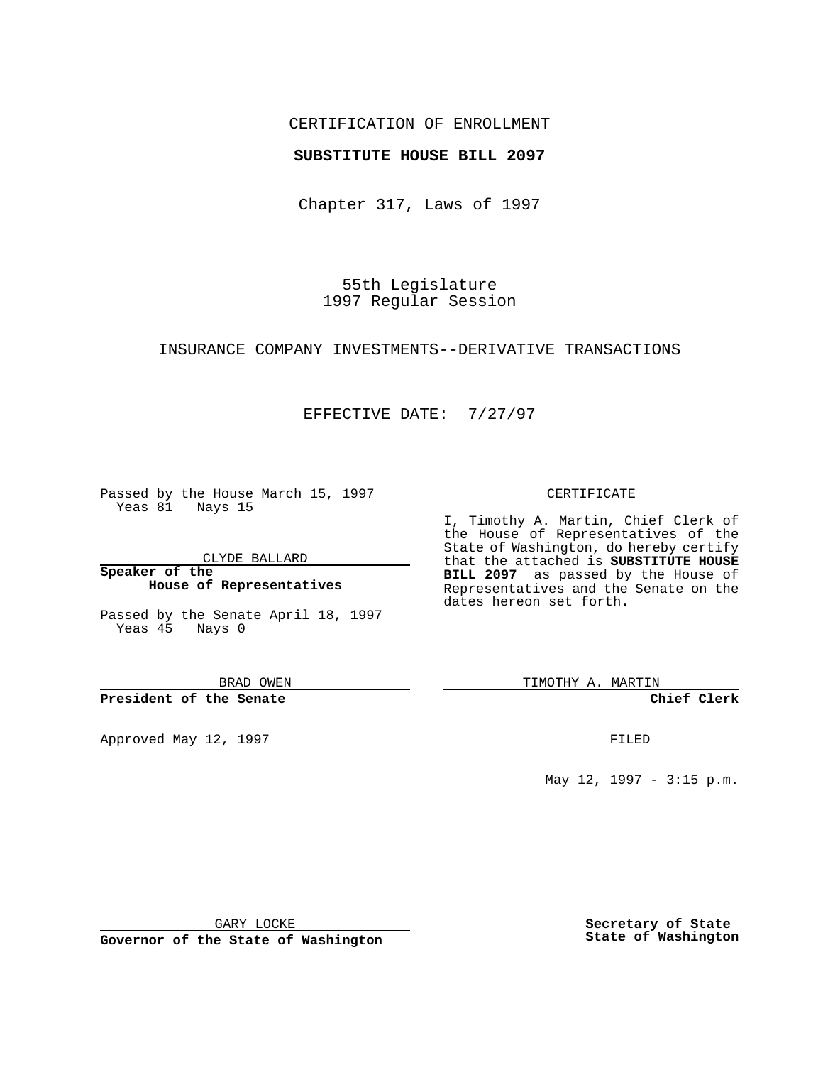### CERTIFICATION OF ENROLLMENT

### **SUBSTITUTE HOUSE BILL 2097**

Chapter 317, Laws of 1997

55th Legislature 1997 Regular Session

#### INSURANCE COMPANY INVESTMENTS--DERIVATIVE TRANSACTIONS

## EFFECTIVE DATE: 7/27/97

Passed by the House March 15, 1997 Yeas 81 Nays 15

CLYDE BALLARD

**Speaker of the House of Representatives**

Passed by the Senate April 18, 1997 Yeas 45 Nays 0

BRAD OWEN

**President of the Senate**

Approved May 12, 1997 **FILED** 

#### CERTIFICATE

I, Timothy A. Martin, Chief Clerk of the House of Representatives of the State of Washington, do hereby certify that the attached is **SUBSTITUTE HOUSE BILL 2097** as passed by the House of Representatives and the Senate on the dates hereon set forth.

TIMOTHY A. MARTIN

**Chief Clerk**

May 12, 1997 - 3:15 p.m.

GARY LOCKE

**Governor of the State of Washington**

**Secretary of State State of Washington**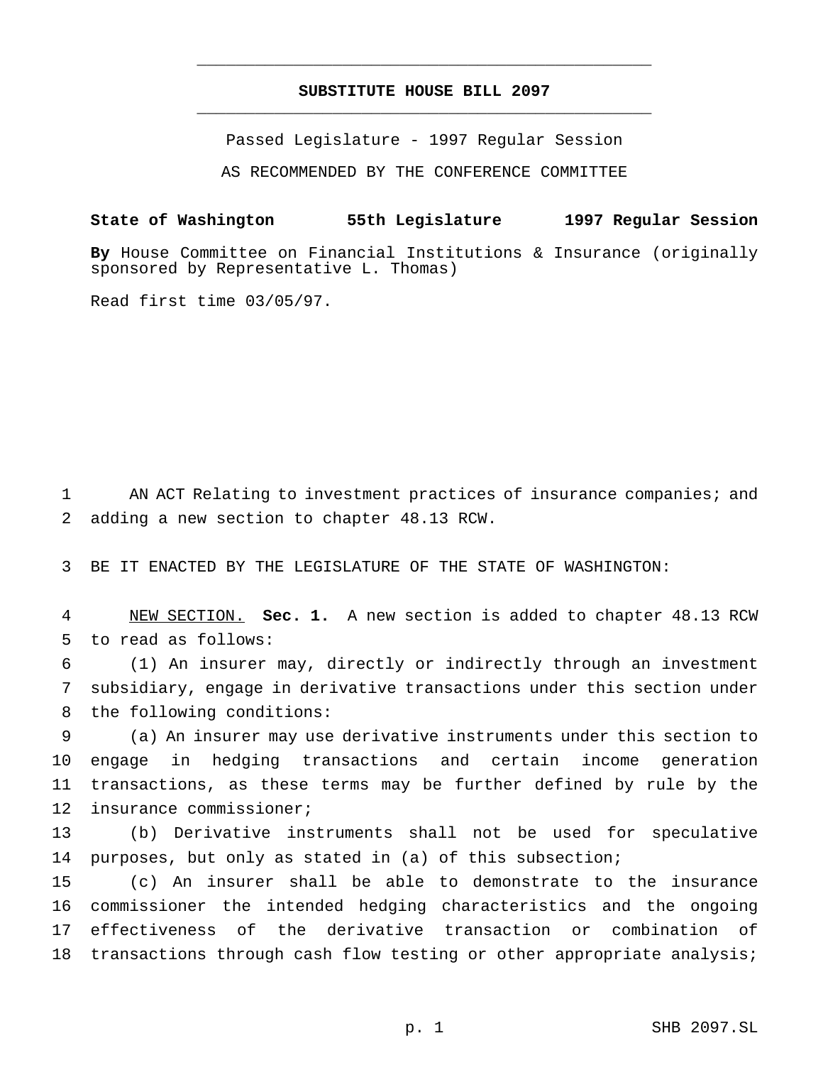# **SUBSTITUTE HOUSE BILL 2097** \_\_\_\_\_\_\_\_\_\_\_\_\_\_\_\_\_\_\_\_\_\_\_\_\_\_\_\_\_\_\_\_\_\_\_\_\_\_\_\_\_\_\_\_\_\_\_

\_\_\_\_\_\_\_\_\_\_\_\_\_\_\_\_\_\_\_\_\_\_\_\_\_\_\_\_\_\_\_\_\_\_\_\_\_\_\_\_\_\_\_\_\_\_\_

Passed Legislature - 1997 Regular Session

AS RECOMMENDED BY THE CONFERENCE COMMITTEE

# **State of Washington 55th Legislature 1997 Regular Session**

**By** House Committee on Financial Institutions & Insurance (originally sponsored by Representative L. Thomas)

Read first time 03/05/97.

 AN ACT Relating to investment practices of insurance companies; and adding a new section to chapter 48.13 RCW.

BE IT ENACTED BY THE LEGISLATURE OF THE STATE OF WASHINGTON:

 NEW SECTION. **Sec. 1.** A new section is added to chapter 48.13 RCW to read as follows:

 (1) An insurer may, directly or indirectly through an investment subsidiary, engage in derivative transactions under this section under the following conditions:

 (a) An insurer may use derivative instruments under this section to engage in hedging transactions and certain income generation transactions, as these terms may be further defined by rule by the insurance commissioner;

 (b) Derivative instruments shall not be used for speculative purposes, but only as stated in (a) of this subsection;

 (c) An insurer shall be able to demonstrate to the insurance commissioner the intended hedging characteristics and the ongoing effectiveness of the derivative transaction or combination of 18 transactions through cash flow testing or other appropriate analysis;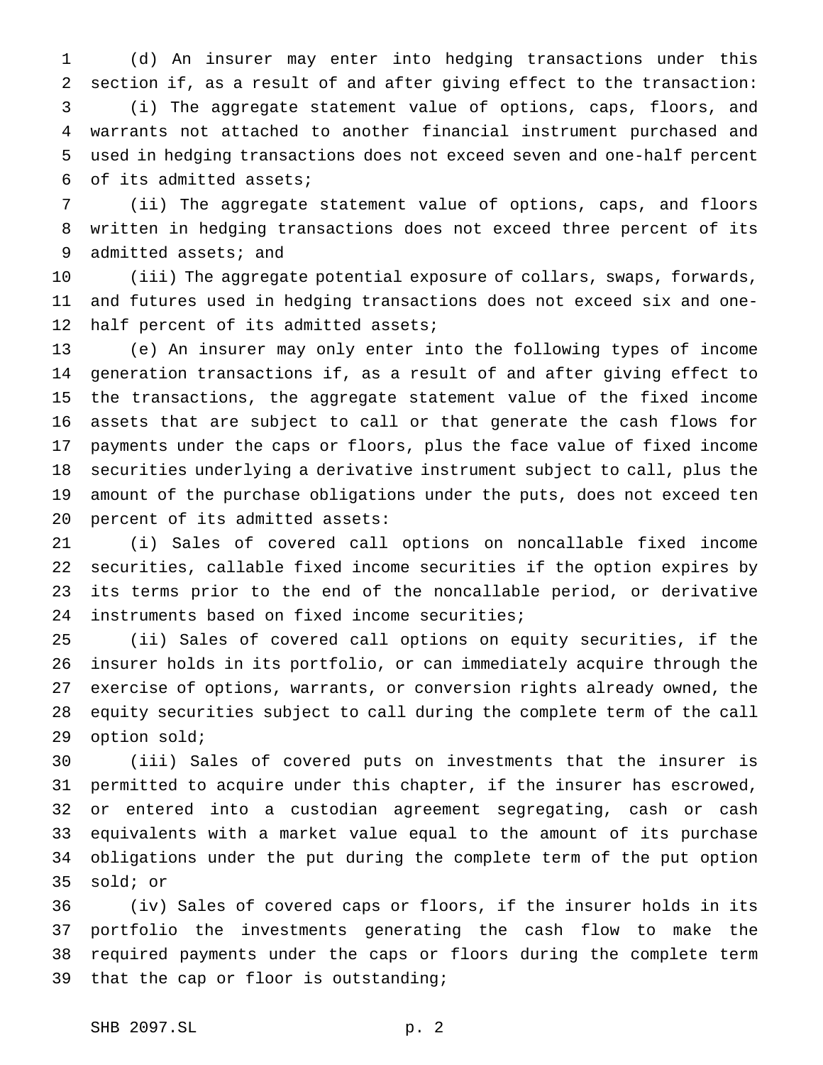(d) An insurer may enter into hedging transactions under this section if, as a result of and after giving effect to the transaction: (i) The aggregate statement value of options, caps, floors, and warrants not attached to another financial instrument purchased and used in hedging transactions does not exceed seven and one-half percent of its admitted assets;

 (ii) The aggregate statement value of options, caps, and floors written in hedging transactions does not exceed three percent of its admitted assets; and

 (iii) The aggregate potential exposure of collars, swaps, forwards, and futures used in hedging transactions does not exceed six and one-12 half percent of its admitted assets;

 (e) An insurer may only enter into the following types of income generation transactions if, as a result of and after giving effect to the transactions, the aggregate statement value of the fixed income assets that are subject to call or that generate the cash flows for payments under the caps or floors, plus the face value of fixed income securities underlying a derivative instrument subject to call, plus the amount of the purchase obligations under the puts, does not exceed ten percent of its admitted assets:

 (i) Sales of covered call options on noncallable fixed income securities, callable fixed income securities if the option expires by its terms prior to the end of the noncallable period, or derivative instruments based on fixed income securities;

 (ii) Sales of covered call options on equity securities, if the insurer holds in its portfolio, or can immediately acquire through the exercise of options, warrants, or conversion rights already owned, the equity securities subject to call during the complete term of the call option sold;

 (iii) Sales of covered puts on investments that the insurer is permitted to acquire under this chapter, if the insurer has escrowed, or entered into a custodian agreement segregating, cash or cash equivalents with a market value equal to the amount of its purchase obligations under the put during the complete term of the put option sold; or

 (iv) Sales of covered caps or floors, if the insurer holds in its portfolio the investments generating the cash flow to make the required payments under the caps or floors during the complete term that the cap or floor is outstanding;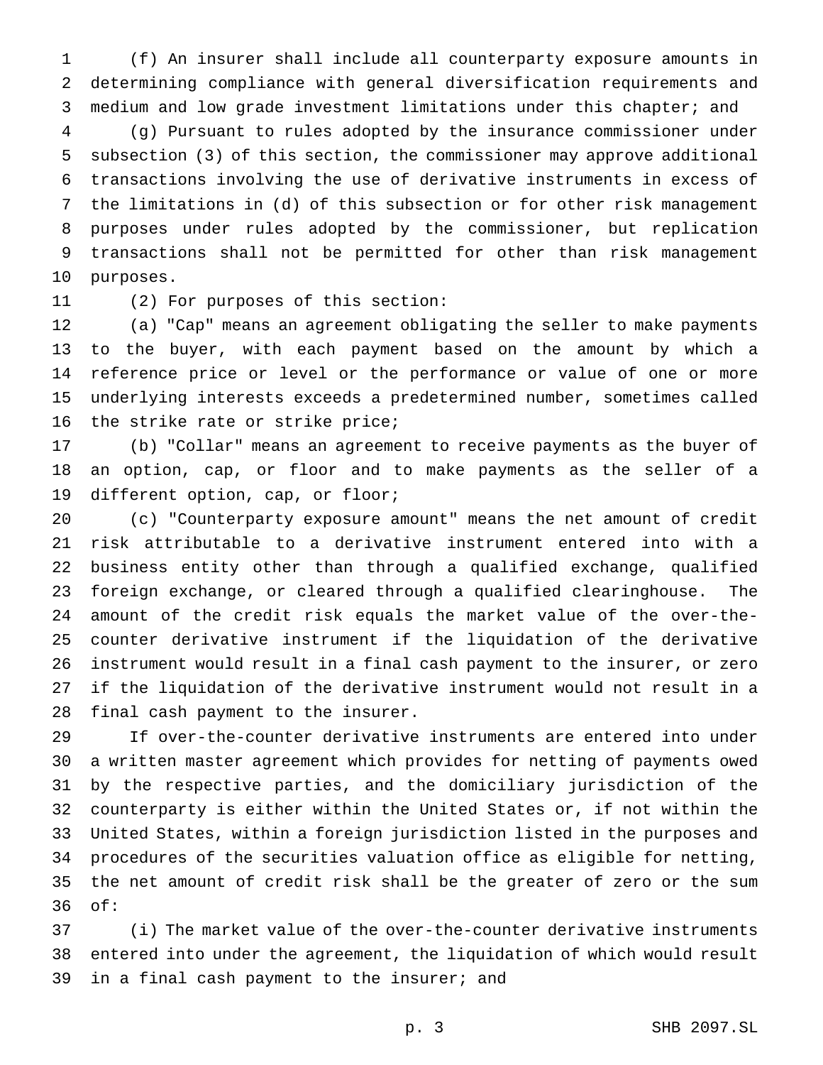(f) An insurer shall include all counterparty exposure amounts in determining compliance with general diversification requirements and medium and low grade investment limitations under this chapter; and

 (g) Pursuant to rules adopted by the insurance commissioner under subsection (3) of this section, the commissioner may approve additional transactions involving the use of derivative instruments in excess of the limitations in (d) of this subsection or for other risk management purposes under rules adopted by the commissioner, but replication transactions shall not be permitted for other than risk management purposes.

(2) For purposes of this section:

 (a) "Cap" means an agreement obligating the seller to make payments to the buyer, with each payment based on the amount by which a reference price or level or the performance or value of one or more underlying interests exceeds a predetermined number, sometimes called the strike rate or strike price;

 (b) "Collar" means an agreement to receive payments as the buyer of an option, cap, or floor and to make payments as the seller of a different option, cap, or floor;

 (c) "Counterparty exposure amount" means the net amount of credit risk attributable to a derivative instrument entered into with a business entity other than through a qualified exchange, qualified foreign exchange, or cleared through a qualified clearinghouse. The amount of the credit risk equals the market value of the over-the- counter derivative instrument if the liquidation of the derivative instrument would result in a final cash payment to the insurer, or zero if the liquidation of the derivative instrument would not result in a final cash payment to the insurer.

 If over-the-counter derivative instruments are entered into under a written master agreement which provides for netting of payments owed by the respective parties, and the domiciliary jurisdiction of the counterparty is either within the United States or, if not within the United States, within a foreign jurisdiction listed in the purposes and procedures of the securities valuation office as eligible for netting, the net amount of credit risk shall be the greater of zero or the sum of:

 (i) The market value of the over-the-counter derivative instruments entered into under the agreement, the liquidation of which would result in a final cash payment to the insurer; and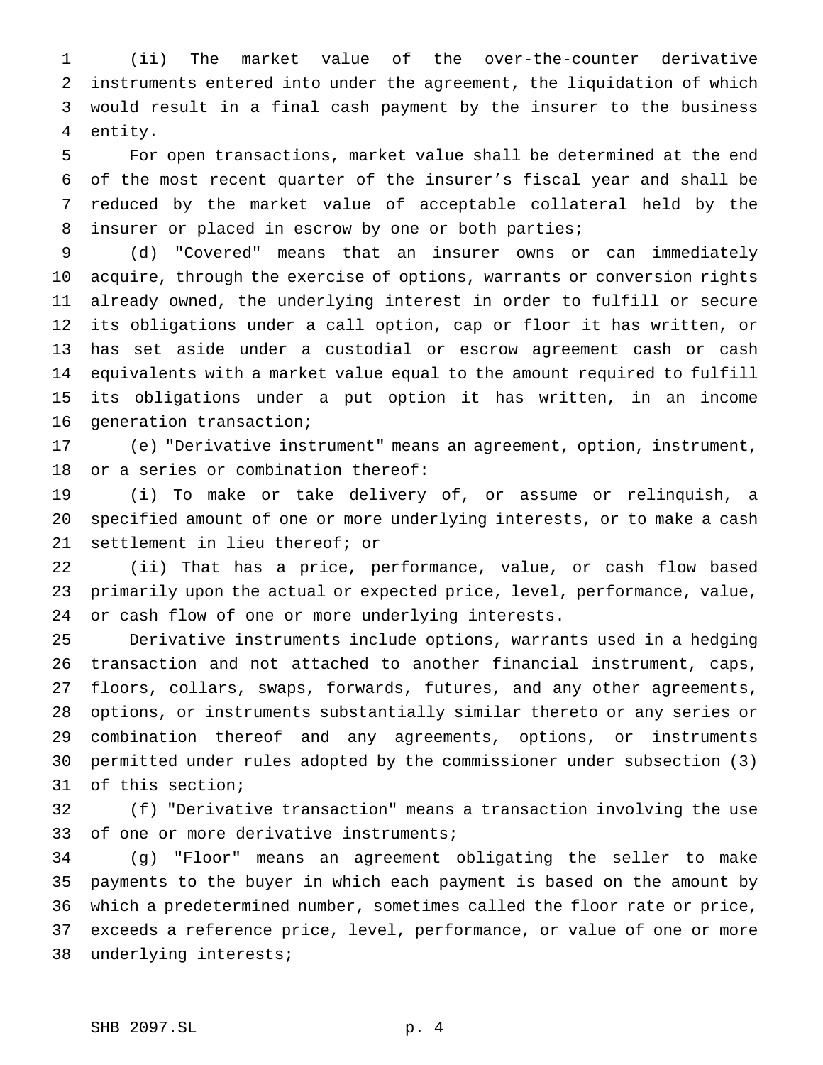(ii) The market value of the over-the-counter derivative instruments entered into under the agreement, the liquidation of which would result in a final cash payment by the insurer to the business entity.

 For open transactions, market value shall be determined at the end of the most recent quarter of the insurer's fiscal year and shall be reduced by the market value of acceptable collateral held by the insurer or placed in escrow by one or both parties;

 (d) "Covered" means that an insurer owns or can immediately acquire, through the exercise of options, warrants or conversion rights already owned, the underlying interest in order to fulfill or secure its obligations under a call option, cap or floor it has written, or has set aside under a custodial or escrow agreement cash or cash equivalents with a market value equal to the amount required to fulfill its obligations under a put option it has written, in an income generation transaction;

 (e) "Derivative instrument" means an agreement, option, instrument, or a series or combination thereof:

 (i) To make or take delivery of, or assume or relinquish, a specified amount of one or more underlying interests, or to make a cash settlement in lieu thereof; or

 (ii) That has a price, performance, value, or cash flow based primarily upon the actual or expected price, level, performance, value, or cash flow of one or more underlying interests.

 Derivative instruments include options, warrants used in a hedging transaction and not attached to another financial instrument, caps, floors, collars, swaps, forwards, futures, and any other agreements, options, or instruments substantially similar thereto or any series or combination thereof and any agreements, options, or instruments permitted under rules adopted by the commissioner under subsection (3) of this section;

 (f) "Derivative transaction" means a transaction involving the use of one or more derivative instruments;

 (g) "Floor" means an agreement obligating the seller to make payments to the buyer in which each payment is based on the amount by which a predetermined number, sometimes called the floor rate or price, exceeds a reference price, level, performance, or value of one or more underlying interests;